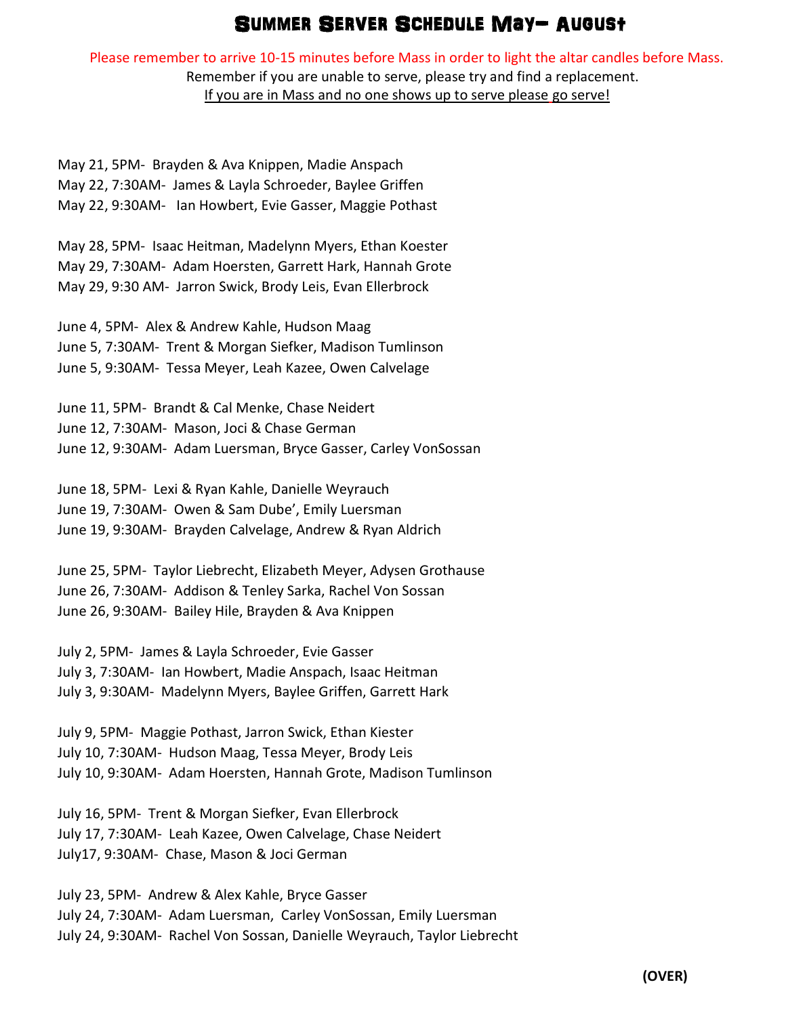## Summer SERVER SCHEDULE May- August

Please remember to arrive 10-15 minutes before Mass in order to light the altar candles before Mass. Remember if you are unable to serve, please try and find a replacement.

If you are in Mass and no one shows up to serve please go serve!

May 21, 5PM- Brayden & Ava Knippen, Madie Anspach May 22, 7:30AM- James & Layla Schroeder, Baylee Griffen May 22, 9:30AM- Ian Howbert, Evie Gasser, Maggie Pothast

May 28, 5PM- Isaac Heitman, Madelynn Myers, Ethan Koester May 29, 7:30AM- Adam Hoersten, Garrett Hark, Hannah Grote May 29, 9:30 AM- Jarron Swick, Brody Leis, Evan Ellerbrock

June 4, 5PM- Alex & Andrew Kahle, Hudson Maag June 5, 7:30AM- Trent & Morgan Siefker, Madison Tumlinson June 5, 9:30AM- Tessa Meyer, Leah Kazee, Owen Calvelage

June 11, 5PM- Brandt & Cal Menke, Chase Neidert June 12, 7:30AM- Mason, Joci & Chase German June 12, 9:30AM- Adam Luersman, Bryce Gasser, Carley VonSossan

June 18, 5PM- Lexi & Ryan Kahle, Danielle Weyrauch June 19, 7:30AM- Owen & Sam Dube', Emily Luersman June 19, 9:30AM- Brayden Calvelage, Andrew & Ryan Aldrich

June 25, 5PM- Taylor Liebrecht, Elizabeth Meyer, Adysen Grothause June 26, 7:30AM- Addison & Tenley Sarka, Rachel Von Sossan June 26, 9:30AM- Bailey Hile, Brayden & Ava Knippen

July 2, 5PM- James & Layla Schroeder, Evie Gasser July 3, 7:30AM- Ian Howbert, Madie Anspach, Isaac Heitman July 3, 9:30AM- Madelynn Myers, Baylee Griffen, Garrett Hark

July 9, 5PM- Maggie Pothast, Jarron Swick, Ethan Kiester July 10, 7:30AM- Hudson Maag, Tessa Meyer, Brody Leis July 10, 9:30AM- Adam Hoersten, Hannah Grote, Madison Tumlinson

July 16, 5PM- Trent & Morgan Siefker, Evan Ellerbrock July 17, 7:30AM- Leah Kazee, Owen Calvelage, Chase Neidert July17, 9:30AM- Chase, Mason & Joci German

July 23, 5PM- Andrew & Alex Kahle, Bryce Gasser July 24, 7:30AM- Adam Luersman, Carley VonSossan, Emily Luersman July 24, 9:30AM- Rachel Von Sossan, Danielle Weyrauch, Taylor Liebrecht